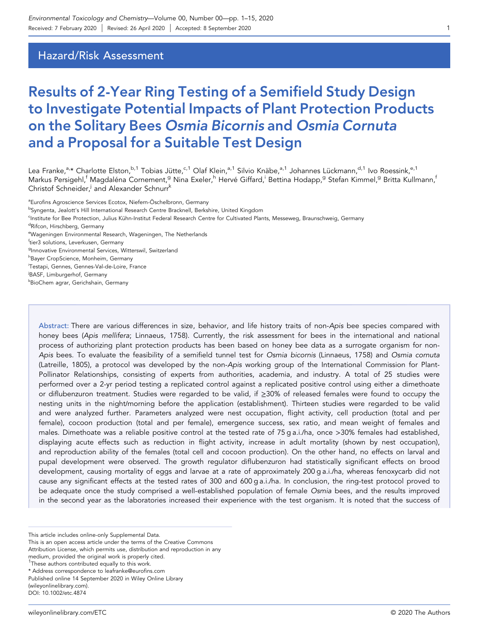# Hazard/Risk Assessment

# Results of 2‐Year Ring Testing of a Semifield Study Design to Investigate Potential Impacts of Plant Protection Products on the Solitary Bees Osmia Bicornis and Osmia Cornuta and a Proposal for a Suitable Test Design

Lea Franke,<sup>a,</sup>\* Charlotte Elston,<sup>b,1</sup> Tobias Jütte,<sup>c,1</sup> Olaf Klein,<sup>a,1</sup> Silvio Knäbe,<sup>a,1</sup> Johannes Lückmann,<sup>d,1</sup> Ivo Roessink,<sup>e,1</sup> Markus Persigehl,<sup>f</sup> Magdaléna Cornement,<sup>g</sup> Nina Exeler,<sup>h</sup> Hervé Giffard,<sup>i</sup> Bettina Hodapp,<sup>g</sup> Stefan Kimmel,<sup>g</sup> Britta Kullmann,<sup>f</sup> Christof Schneider,<sup>j</sup> and Alexander Schnurr<sup>k</sup>

<sup>a</sup>Eurofins Agroscience Services Ecotox, Niefern-Öschelbronn, Germany <sup>b</sup>Syngenta, Jealott's Hill International Research Centre Bracknell, Berkshire, United Kingdom c Institute for Bee Protection, Julius Kühn‐Institut Federal Research Centre for Cultivated Plants, Messeweg, Braunschweig, Germany <sup>d</sup>Rifcon, Hirschberg, Germany e Wageningen Environmental Research, Wageningen, The Netherlands f tier3 solutions, Leverkusen, Germany <sup>g</sup>Innovative Environmental Services, Witterswil, Switzerland <sup>h</sup>Bayer CropScience, Monheim, Germany i Testapi, Gennes, Gennes‐Val‐de‐Loire, France j BASF, Limburgerhof, Germany k BioChem agrar, Gerichshain, Germany

Abstract: There are various differences in size, behavior, and life history traits of non-Apis bee species compared with honey bees (Apis mellifera; Linnaeus, 1758). Currently, the risk assessment for bees in the international and national process of authorizing plant protection products has been based on honey bee data as a surrogate organism for non-Apis bees. To evaluate the feasibility of a semifield tunnel test for Osmia bicornis (Linnaeus, 1758) and Osmia cornuta (Latreille, 1805), a protocol was developed by the non‐Apis working group of the International Commission for Plant‐ Pollinator Relationships, consisting of experts from authorities, academia, and industry. A total of 25 studies were performed over a 2‐yr period testing a replicated control against a replicated positive control using either a dimethoate or diflubenzuron treatment. Studies were regarded to be valid, if ≥30% of released females were found to occupy the nesting units in the night/morning before the application (establishment). Thirteen studies were regarded to be valid and were analyzed further. Parameters analyzed were nest occupation, flight activity, cell production (total and per female), cocoon production (total and per female), emergence success, sex ratio, and mean weight of females and males. Dimethoate was a reliable positive control at the tested rate of 75 g a.i./ha, once >30% females had established, displaying acute effects such as reduction in flight activity, increase in adult mortality (shown by nest occupation), and reproduction ability of the females (total cell and cocoon production). On the other hand, no effects on larval and pupal development were observed. The growth regulator diflubenzuron had statistically significant effects on brood development, causing mortality of eggs and larvae at a rate of approximately 200 g a.i./ha, whereas fenoxycarb did not cause any significant effects at the tested rates of 300 and 600 g a.i./ha. In conclusion, the ring-test protocol proved to be adequate once the study comprised a well-established population of female Osmia bees, and the results improved in the second year as the laboratories increased their experience with the test organism. It is noted that the success of

This article includes online‐only Supplemental Data.

This is an open access article under the terms of the Creative Commons

Attribution License, which permits use, distribution and reproduction in any

medium, provided the original work is properly cited.

<sup>&</sup>lt;sup>1</sup>These authors contributed equally to this work.

<sup>\*</sup> Address correspondence to [leafranke@euro](mailto:leafranke@eurofins.com)fins.com

Published online 14 September 2020 in Wiley Online Library

<sup>(</sup>wileyonlinelibrary.com). DOI: 10.1002/etc.4874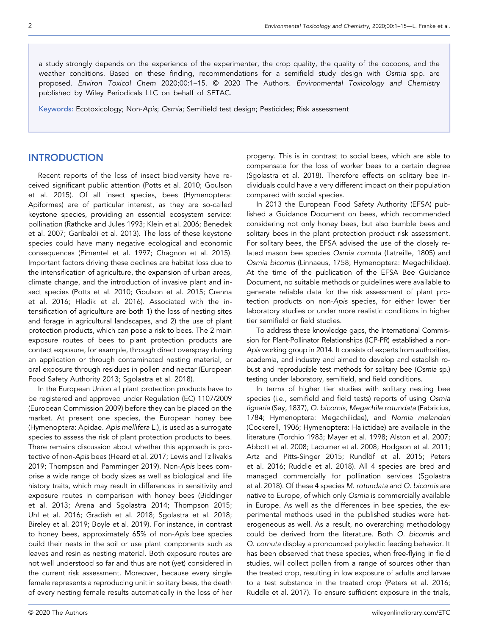a study strongly depends on the experience of the experimenter, the crop quality, the quality of the cocoons, and the weather conditions. Based on these finding, recommendations for a semifield study design with Osmia spp. are proposed. Environ Toxicol Chem 2020;00:1–15. © 2020 The Authors. Environmental Toxicology and Chemistry published by Wiley Periodicals LLC on behalf of SETAC.

Keywords: Ecotoxicology; Non‐Apis; Osmia; Semifield test design; Pesticides; Risk assessment

# INTRODUCTION

Recent reports of the loss of insect biodiversity have received significant public attention (Potts et al. 2010; Goulson et al. 2015). Of all insect species, bees (Hymenoptera: Apiformes) are of particular interest, as they are so-called keystone species, providing an essential ecosystem service: pollination (Rathcke and Jules 1993; Klein et al. 2006; Benedek et al. 2007; Garibaldi et al. 2013). The loss of these keystone species could have many negative ecological and economic consequences (Pimentel et al. 1997; Chagnon et al. 2015). Important factors driving these declines are habitat loss due to the intensification of agriculture, the expansion of urban areas, climate change, and the introduction of invasive plant and insect species (Potts et al. 2010; Goulson et al. 2015; Crenna et al. 2016; Hladik et al. 2016). Associated with the intensification of agriculture are both 1) the loss of nesting sites and forage in agricultural landscapes, and 2) the use of plant protection products, which can pose a risk to bees. The 2 main exposure routes of bees to plant protection products are contact exposure, for example, through direct overspray during an application or through contaminated nesting material, or oral exposure through residues in pollen and nectar (European Food Safety Authority 2013; Sgolastra et al. 2018).

In the European Union all plant protection products have to be registered and approved under Regulation (EC) 1107/2009 (European Commission 2009) before they can be placed on the market. At present one species, the European honey bee (Hymenoptera: Apidae. Apis mellifera L.), is used as a surrogate species to assess the risk of plant protection products to bees. There remains discussion about whether this approach is protective of non‐Apis bees (Heard et al. 2017; Lewis and Tzilivakis 2019; Thompson and Pamminger 2019). Non‐Apis bees comprise a wide range of body sizes as well as biological and life history traits, which may result in differences in sensitivity and exposure routes in comparison with honey bees (Biddinger et al. 2013; Arena and Sgolastra 2014; Thompson 2015; Uhl et al. 2016; Gradish et al. 2018; Sgolastra et al. 2018; Bireley et al. 2019; Boyle et al. 2019). For instance, in contrast to honey bees, approximately 65% of non‐Apis bee species build their nests in the soil or use plant components such as leaves and resin as nesting material. Both exposure routes are not well understood so far and thus are not (yet) considered in the current risk assessment. Moreover, because every single female represents a reproducing unit in solitary bees, the death of every nesting female results automatically in the loss of her

progeny. This is in contrast to social bees, which are able to compensate for the loss of worker bees to a certain degree (Sgolastra et al. 2018). Therefore effects on solitary bee individuals could have a very different impact on their population compared with social species.

In 2013 the European Food Safety Authority (EFSA) published a Guidance Document on bees, which recommended considering not only honey bees, but also bumble bees and solitary bees in the plant protection product risk assessment. For solitary bees, the EFSA advised the use of the closely related mason bee species Osmia cornuta (Latreille, 1805) and Osmia bicornis (Linnaeus, 1758; Hymenoptera: Megachilidae). At the time of the publication of the EFSA Bee Guidance Document, no suitable methods or guidelines were available to generate reliable data for the risk assessment of plant protection products on non‐Apis species, for either lower tier laboratory studies or under more realistic conditions in higher tier semifield or field studies.

To address these knowledge gaps, the International Commission for Plant-Pollinator Relationships (ICP-PR) established a non-Apis working group in 2014. It consists of experts from authorities, academia, and industry and aimed to develop and establish robust and reproducible test methods for solitary bee (Osmia sp.) testing under laboratory, semifield, and field conditions.

In terms of higher tier studies with solitary nesting bee species (i.e., semifield and field tests) reports of using Osmia lignaria (Say, 1837), O. bicornis, Megachile rotundata (Fabricius, 1784; Hymenoptera: Megachilidae), and Nomia melanderi (Cockerell, 1906; Hymenoptera: Halictidae) are available in the literature (Torchio 1983; Mayer et al. 1998; Alston et al. 2007; Abbott et al. 2008; Ladurner et al. 2008; Hodgson et al. 2011; Artz and Pitts‐Singer 2015; Rundlöf et al. 2015; Peters et al. 2016; Ruddle et al. 2018). All 4 species are bred and managed commercially for pollination services (Sgolastra et al. 2018). Of these 4 species M. rotundata and O. bicornis are native to Europe, of which only Osmia is commercially available in Europe. As well as the differences in bee species, the experimental methods used in the published studies were heterogeneous as well. As a result, no overarching methodology could be derived from the literature. Both O. bicornis and O. cornuta display a pronounced polylectic feeding behavior. It has been observed that these species, when free‐flying in field studies, will collect pollen from a range of sources other than the treated crop, resulting in low exposure of adults and larvae to a test substance in the treated crop (Peters et al. 2016; Ruddle et al. 2017). To ensure sufficient exposure in the trials,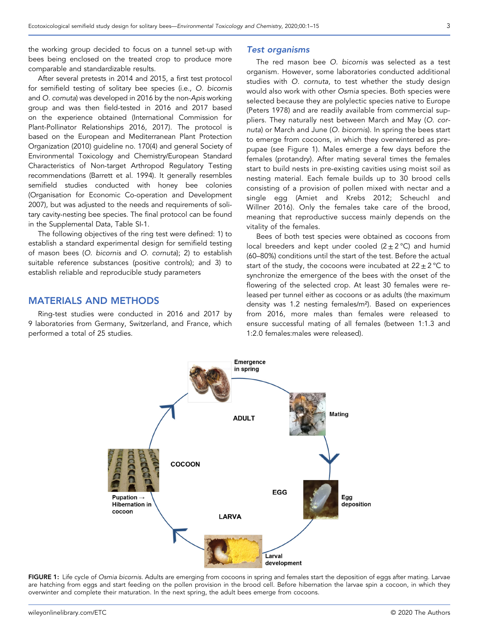the working group decided to focus on a tunnel set‐up with bees being enclosed on the treated crop to produce more comparable and standardizable results.

After several pretests in 2014 and 2015, a first test protocol for semifield testing of solitary bee species (i.e., O. bicornis and O. cornuta) was developed in 2016 by the non‐Apis working group and was then field‐tested in 2016 and 2017 based on the experience obtained (International Commission for Plant‐Pollinator Relationships 2016, 2017). The protocol is based on the European and Mediterranean Plant Protection Organization (2010) guideline no. 170(4) and general Society of Environmental Toxicology and Chemistry/European Standard Characteristics of Non‐target Arthropod Regulatory Testing recommendations (Barrett et al. 1994). It generally resembles semifield studies conducted with honey bee colonies (Organisation for Economic Co‐operation and Development 2007), but was adjusted to the needs and requirements of solitary cavity‐nesting bee species. The final protocol can be found in the Supplemental Data, Table SI‐1.

The following objectives of the ring test were defined: 1) to establish a standard experimental design for semifield testing of mason bees (O. bicornis and O. cornuta); 2) to establish suitable reference substances (positive controls); and 3) to establish reliable and reproducible study parameters

# MATERIALS AND METHODS

Ring‐test studies were conducted in 2016 and 2017 by 9 laboratories from Germany, Switzerland, and France, which performed a total of 25 studies.

#### Test organisms

The red mason bee O. bicornis was selected as a test organism. However, some laboratories conducted additional studies with O. cornuta, to test whether the study design would also work with other Osmia species. Both species were selected because they are polylectic species native to Europe (Peters 1978) and are readily available from commercial suppliers. They naturally nest between March and May (O. cornuta) or March and June (O. bicornis). In spring the bees start to emerge from cocoons, in which they overwintered as prepupae (see Figure 1). Males emerge a few days before the females (protandry). After mating several times the females start to build nests in pre‐existing cavities using moist soil as nesting material. Each female builds up to 30 brood cells consisting of a provision of pollen mixed with nectar and a single egg (Amiet and Krebs 2012; Scheuchl and Willner 2016). Only the females take care of the brood, meaning that reproductive success mainly depends on the vitality of the females.

Bees of both test species were obtained as cocoons from local breeders and kept under cooled  $(2 \pm 2 \degree C)$  and humid (60–80%) conditions until the start of the test. Before the actual start of the study, the cocoons were incubated at  $22 \pm 2^{\circ}$ C to synchronize the emergence of the bees with the onset of the flowering of the selected crop. At least 30 females were released per tunnel either as cocoons or as adults (the maximum density was 1.2 nesting females/m²). Based on experiences from 2016, more males than females were released to ensure successful mating of all females (between 1:1.3 and 1:2.0 females:males were released).



FIGURE 1: Life cycle of Osmia bicornis. Adults are emerging from cocoons in spring and females start the deposition of eggs after mating. Larvae are hatching from eggs and start feeding on the pollen provision in the brood cell. Before hibernation the larvae spin a cocoon, in which they overwinter and complete their maturation. In the next spring, the adult bees emerge from cocoons.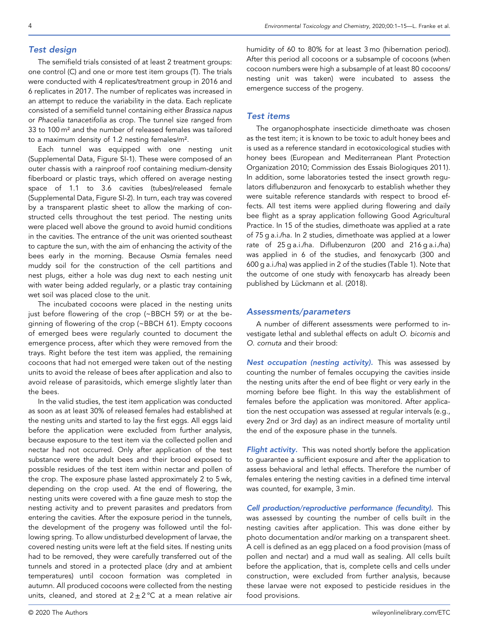# Test design

The semifield trials consisted of at least 2 treatment groups: one control (C) and one or more test item groups (T). The trials were conducted with 4 replicates/treatment group in 2016 and 6 replicates in 2017. The number of replicates was increased in an attempt to reduce the variability in the data. Each replicate consisted of a semifield tunnel containing either Brassica napus or Phacelia tanacetifolia as crop. The tunnel size ranged from 33 to 100 m² and the number of released females was tailored to a maximum density of 1.2 nesting females/m².

Each tunnel was equipped with one nesting unit (Supplemental Data, Figure SI‐1). These were composed of an outer chassis with a rainproof roof containing medium‐density fiberboard or plastic trays, which offered on average nesting space of 1.1 to 3.6 cavities (tubes)/released female (Supplemental Data, Figure SI‐2). In turn, each tray was covered by a transparent plastic sheet to allow the marking of constructed cells throughout the test period. The nesting units were placed well above the ground to avoid humid conditions in the cavities. The entrance of the unit was oriented southeast to capture the sun, with the aim of enhancing the activity of the bees early in the morning. Because Osmia females need muddy soil for the construction of the cell partitions and nest plugs, either a hole was dug next to each nesting unit with water being added regularly, or a plastic tray containing wet soil was placed close to the unit.

The incubated cocoons were placed in the nesting units just before flowering of the crop (~BBCH 59) or at the beginning of flowering of the crop (~BBCH 61). Empty cocoons of emerged bees were regularly counted to document the emergence process, after which they were removed from the trays. Right before the test item was applied, the remaining cocoons that had not emerged were taken out of the nesting units to avoid the release of bees after application and also to avoid release of parasitoids, which emerge slightly later than the bees.

In the valid studies, the test item application was conducted as soon as at least 30% of released females had established at the nesting units and started to lay the first eggs. All eggs laid before the application were excluded from further analysis, because exposure to the test item via the collected pollen and nectar had not occurred. Only after application of the test substance were the adult bees and their brood exposed to possible residues of the test item within nectar and pollen of the crop. The exposure phase lasted approximately 2 to 5 wk, depending on the crop used. At the end of flowering, the nesting units were covered with a fine gauze mesh to stop the nesting activity and to prevent parasites and predators from entering the cavities. After the exposure period in the tunnels, the development of the progeny was followed until the following spring. To allow undisturbed development of larvae, the covered nesting units were left at the field sites. If nesting units had to be removed, they were carefully transferred out of the tunnels and stored in a protected place (dry and at ambient temperatures) until cocoon formation was completed in autumn. All produced cocoons were collected from the nesting units, cleaned, and stored at  $2 + 2$  °C at a mean relative air

humidity of 60 to 80% for at least 3 mo (hibernation period). After this period all cocoons or a subsample of cocoons (when cocoon numbers were high a subsample of at least 80 cocoons/ nesting unit was taken) were incubated to assess the emergence success of the progeny.

#### Test items

The organophosphate insecticide dimethoate was chosen as the test item; it is known to be toxic to adult honey bees and is used as a reference standard in ecotoxicological studies with honey bees (European and Mediterranean Plant Protection Organization 2010; Commission des Essais Biologiques 2011). In addition, some laboratories tested the insect growth regulators diflubenzuron and fenoxycarb to establish whether they were suitable reference standards with respect to brood effects. All test items were applied during flowering and daily bee flight as a spray application following Good Agricultural Practice. In 15 of the studies, dimethoate was applied at a rate of 75 g a.i./ha. In 2 studies, dimethoate was applied at a lower rate of 25 g a.i./ha. Diflubenzuron (200 and 216 g a.i./ha) was applied in 6 of the studies, and fenoxycarb (300 and 600 g a.i./ha) was applied in 2 of the studies (Table 1). Note that the outcome of one study with fenoxycarb has already been published by Lückmann et al. (2018).

#### Assessments/parameters

A number of different assessments were performed to investigate lethal and sublethal effects on adult O. bicornis and O. cornuta and their brood:

Nest occupation (nesting activity). This was assessed by counting the number of females occupying the cavities inside the nesting units after the end of bee flight or very early in the morning before bee flight. In this way the establishment of females before the application was monitored. After application the nest occupation was assessed at regular intervals (e.g., every 2nd or 3rd day) as an indirect measure of mortality until the end of the exposure phase in the tunnels.

Flight activity. This was noted shortly before the application to guarantee a sufficient exposure and after the application to assess behavioral and lethal effects. Therefore the number of females entering the nesting cavities in a defined time interval was counted, for example, 3 min.

Cell production/reproductive performance (fecundity). This was assessed by counting the number of cells built in the nesting cavities after application. This was done either by photo documentation and/or marking on a transparent sheet. A cell is defined as an egg placed on a food provision (mass of pollen and nectar) and a mud wall as sealing. All cells built before the application, that is, complete cells and cells under construction, were excluded from further analysis, because these larvae were not exposed to pesticide residues in the food provisions.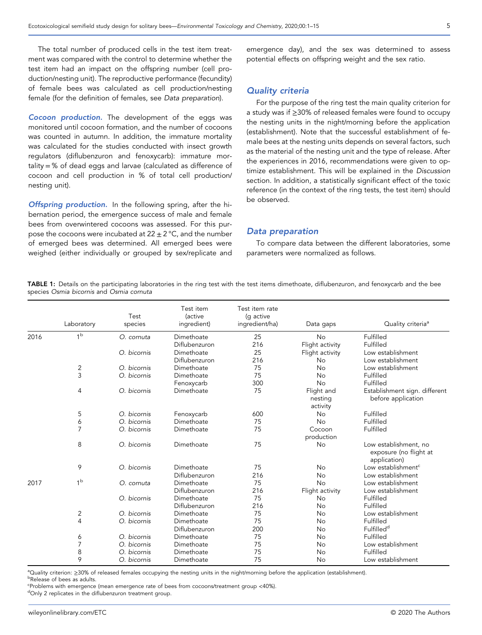The total number of produced cells in the test item treatment was compared with the control to determine whether the test item had an impact on the offspring number (cell production/nesting unit). The reproductive performance (fecundity) of female bees was calculated as cell production/nesting female (for the definition of females, see Data preparation).

Cocoon production. The development of the eggs was monitored until cocoon formation, and the number of cocoons was counted in autumn. In addition, the immature mortality was calculated for the studies conducted with insect growth regulators (diflubenzuron and fenoxycarb): immature mortality = % of dead eggs and larvae (calculated as difference of cocoon and cell production in % of total cell production/ nesting unit).

**Offspring production.** In the following spring, after the hibernation period, the emergence success of male and female bees from overwintered cocoons was assessed. For this purpose the cocoons were incubated at  $22 \pm 2$  °C, and the number of emerged bees was determined. All emerged bees were weighed (either individually or grouped by sex/replicate and emergence day), and the sex was determined to assess potential effects on offspring weight and the sex ratio.

#### Quality criteria

For the purpose of the ring test the main quality criterion for a study was if ≥30% of released females were found to occupy the nesting units in the night/morning before the application (establishment). Note that the successful establishment of female bees at the nesting units depends on several factors, such as the material of the nesting unit and the type of release. After the experiences in 2016, recommendations were given to optimize establishment. This will be explained in the Discussion section. In addition, a statistically significant effect of the toxic reference (in the context of the ring tests, the test item) should be observed.

#### Data preparation

To compare data between the different laboratories, some parameters were normalized as follows.

TABLE 1: Details on the participating laboratories in the ring test with the test items dimethoate, diflubenzuron, and fenoxycarb and the bee species Osmia bicornis and Osmia cornuta

|      | Laboratory              | Test<br>species | Test item<br><i>(active</i><br>ingredient) | Test item rate<br>(g active<br>ingredient/ha) | Data gaps                         | Quality criteria <sup>a</sup>                                   |
|------|-------------------------|-----------------|--------------------------------------------|-----------------------------------------------|-----------------------------------|-----------------------------------------------------------------|
| 2016 | 1 <sup>b</sup>          | O. cornuta      | Dimethoate                                 | 25                                            | <b>No</b>                         | Fulfilled                                                       |
|      |                         |                 | Diflubenzuron                              | 216                                           | Flight activity                   | Fulfilled                                                       |
|      |                         | O. bicornis     | Dimethoate                                 | 25                                            | Flight activity                   | Low establishment                                               |
|      |                         |                 | Diflubenzuron                              | 216                                           | <b>No</b>                         | Low establishment                                               |
|      | $\overline{\mathbf{c}}$ | O. bicornis     | Dimethoate                                 | 75                                            | No                                | Low establishment                                               |
|      | 3                       | O. bicornis     | Dimethoate                                 | 75                                            | <b>No</b>                         | Fulfilled                                                       |
|      |                         |                 | Fenoxycarb                                 | 300                                           | No                                | Fulfilled                                                       |
|      | 4                       | O. bicornis     | Dimethoate                                 | 75                                            | Flight and<br>nesting<br>activity | Establishment sign. different<br>before application             |
|      | 5                       | O. bicornis     | Fenoxycarb                                 | 600                                           | <b>No</b>                         | Fulfilled                                                       |
|      | 6                       | O. bicornis     | Dimethoate                                 | 75                                            | <b>No</b>                         | Fulfilled                                                       |
|      | $\overline{7}$          | O. bicornis     | Dimethoate                                 | 75                                            | Cocoon<br>production              | Fulfilled                                                       |
|      | 8                       | O. bicornis     | Dimethoate                                 | 75                                            | No                                | Low establishment, no<br>exposure (no flight at<br>application) |
|      | 9                       | O. bicornis     | Dimethoate                                 | 75                                            | <b>No</b>                         | Low establishment <sup>c</sup>                                  |
|      |                         |                 | Diflubenzuron                              | 216                                           | No                                | Low establishment                                               |
| 2017 | 1 <sup>b</sup>          | O. cornuta      | Dimethoate                                 | 75                                            | No                                | Low establishment                                               |
|      |                         |                 | Diflubenzuron                              | 216                                           | Flight activity                   | Low establishment                                               |
|      |                         | O. bicornis     | Dimethoate                                 | 75                                            | No                                | Fulfilled                                                       |
|      |                         |                 | Diflubenzuron                              | 216                                           | No                                | Fulfilled                                                       |
|      | 2                       | O. bicornis     | Dimethoate                                 | 75                                            | <b>No</b>                         | Low establishment                                               |
|      | $\overline{4}$          | O. bicornis     | Dimethoate                                 | 75                                            | No                                | Fulfilled                                                       |
|      |                         |                 | Diflubenzuron                              | 200                                           | No                                | Fulfilled <sup>d</sup>                                          |
|      | 6                       | O. bicornis     | Dimethoate                                 | 75                                            | No                                | Fulfilled                                                       |
|      | 7                       | O. bicornis     | Dimethoate                                 | 75                                            | No                                | Low establishment                                               |
|      | 8                       | O. bicornis     | Dimethoate                                 | 75                                            | No                                | Fulfilled                                                       |
|      | 9                       | O. bicornis     | Dimethoate                                 | 75                                            | No                                | Low establishment                                               |

ªQuality criterion: ≥30% of released females occupying the nesting units in the night/morning before the application (establishment).<br><sup>b</sup>Release of bees as adults **bRelease of bees as adults.** 

Problems with emergence (mean emergence rate of bees from cocoons/treatment group <40%).

dOnly 2 replicates in the diflubenzuron treatment group.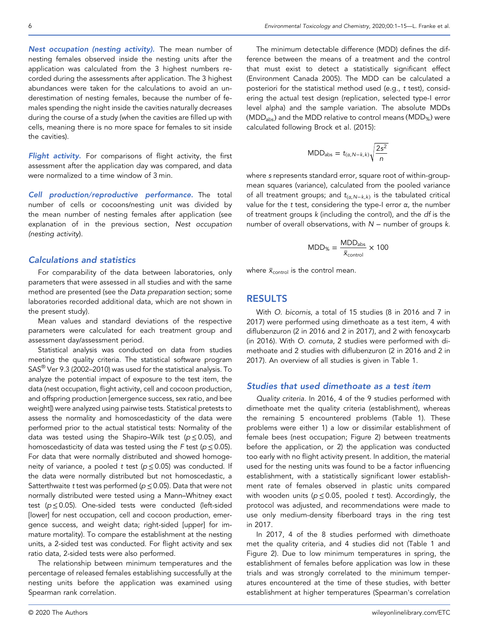Nest occupation (nesting activity). The mean number of nesting females observed inside the nesting units after the application was calculated from the 3 highest numbers recorded during the assessments after application. The 3 highest abundances were taken for the calculations to avoid an underestimation of nesting females, because the number of females spending the night inside the cavities naturally decreases during the course of a study (when the cavities are filled up with cells, meaning there is no more space for females to sit inside the cavities).

Flight activity. For comparisons of flight activity, the first assessment after the application day was compared, and data were normalized to a time window of 3 min.

Cell production/reproductive performance. The total number of cells or cocoons/nesting unit was divided by the mean number of nesting females after application (see explanation of in the previous section, Nest occupation (nesting activity).

# Calculations and statistics

For comparability of the data between laboratories, only parameters that were assessed in all studies and with the same method are presented (see the Data preparation section; some laboratories recorded additional data, which are not shown in the present study).

Mean values and standard deviations of the respective parameters were calculated for each treatment group and assessment day/assessment period.

Statistical analysis was conducted on data from studies meeting the quality criteria. The statistical software program SAS® Ver 9.3 (2002–2010) was used for the statistical analysis. To analyze the potential impact of exposure to the test item, the data (nest occupation, flight activity, cell and cocoon production, and offspring production [emergence success, sex ratio, and bee weight]) were analyzed using pairwise tests. Statistical pretests to assess the normality and homoscedasticity of the data were performed prior to the actual statistical tests: Normality of the data was tested using the Shapiro–Wilk test ( $p \le 0.05$ ), and homoscedasticity of data was tested using the F test ( $p \le 0.05$ ). For data that were normally distributed and showed homogeneity of variance, a pooled t test ( $p \le 0.05$ ) was conducted. If the data were normally distributed but not homoscedastic, a Satterthwaite t test was performed ( $p \le 0.05$ ). Data that were not normally distributed were tested using a Mann–Whitney exact test ( $p \le 0.05$ ). One-sided tests were conducted (left-sided [lower] for nest occupation, cell and cocoon production, emergence success, and weight data; right‐sided [upper] for immature mortality). To compare the establishment at the nesting units, a 2‐sided test was conducted. For flight activity and sex ratio data, 2‐sided tests were also performed.

The relationship between minimum temperatures and the percentage of released females establishing successfully at the nesting units before the application was examined using Spearman rank correlation.

The minimum detectable difference (MDD) defines the difference between the means of a treatment and the control that must exist to detect a statistically significant effect (Environment Canada 2005). The MDD can be calculated a posteriori for the statistical method used (e.g., t test), considering the actual test design (replication, selected type‐I error level alpha) and the sample variation. The absolute MDDs ( $MDD<sub>abs</sub>$ ) and the MDD relative to control means (MDD<sub>%</sub>) were calculated following Brock et al. (2015):

$$
MDD_{\text{abs}} = t_{(\alpha, N-k,k)} \sqrt{\frac{2s^2}{n}}
$$

where s represents standard error, square root of within‐group‐ mean squares (variance), calculated from the pooled variance of all treatment groups; and  $t_{(\alpha, N-k,k)}$  is the tabulated critical value for the t test, considering the type-I error  $\alpha$ , the number of treatment groups k (including the control), and the df is the number of overall observations, with  $N -$  number of groups  $k$ .

$$
MDD_{\%} = \frac{MDD_{\text{abs}}}{\bar{x}_{\text{control}}} \times 100
$$

where  $\bar{x}_{\text{control}}$  is the control mean.

# RESULTS

With O. bicornis, a total of 15 studies (8 in 2016 and 7 in 2017) were performed using dimethoate as a test item, 4 with diflubenzuron (2 in 2016 and 2 in 2017), and 2 with fenoxycarb (in 2016). With O. cornuta, 2 studies were performed with dimethoate and 2 studies with diflubenzuron (2 in 2016 and 2 in 2017). An overview of all studies is given in Table 1.

#### Studies that used dimethoate as a test item

Quality criteria. In 2016, 4 of the 9 studies performed with dimethoate met the quality criteria (establishment), whereas the remaining 5 encountered problems (Table 1). These problems were either 1) a low or dissimilar establishment of female bees (nest occupation; Figure 2) between treatments before the application, or 2) the application was conducted too early with no flight activity present. In addition, the material used for the nesting units was found to be a factor influencing establishment, with a statistically significant lower establishment rate of females observed in plastic units compared with wooden units ( $p \le 0.05$ , pooled t test). Accordingly, the protocol was adjusted, and recommendations were made to use only medium‐density fiberboard trays in the ring test in 2017.

In 2017, 4 of the 8 studies performed with dimethoate met the quality criteria, and 4 studies did not (Table 1 and Figure 2). Due to low minimum temperatures in spring, the establishment of females before application was low in these trials and was strongly correlated to the minimum temperatures encountered at the time of these studies, with better establishment at higher temperatures (Spearman's correlation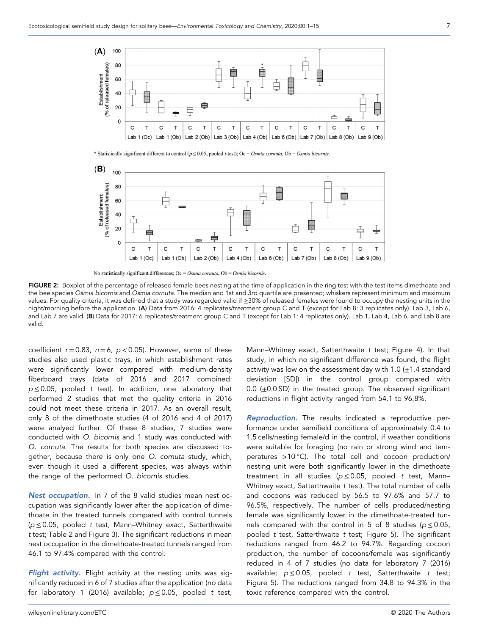

\* Statistically significant different to control ( $p \le 0.05$ , pooled t-test); Oc = Osmia cornuta, Ob = Osmia bicornis.



No statistically significant differences; Oc =  $Osmia$  cornuta, Ob =  $Osmia$  bicornis.

FIGURE 2: Boxplot of the percentage of released female bees nesting at the time of application in the ring test with the test items dimethoate and the bee species Osmia bicornis and Osmia cornuta. The median and 1st and 3rd quartile are presented; whiskers represent minimum and maximum values. For quality criteria, it was defined that a study was regarded valid if ≥30% of released females were found to occupy the nesting units in the night/morning before the application. (A) Data from 2016: 4 replicates/treatment group C and T (except for Lab 8: 3 replicates only). Lab 3, Lab 6, and Lab 7 are valid. (B) Data for 2017: 6 replicates/treatment group C and T (except for Lab 1: 4 replicates only). Lab 1, Lab 4, Lab 6, and Lab 8 are valid.

coefficient  $r = 0.83$ ,  $n = 6$ ,  $p < 0.05$ ). However, some of these studies also used plastic trays, in which establishment rates were significantly lower compared with medium‐density fiberboard trays (data of 2016 and 2017 combined:  $p \le 0.05$ , pooled t test). In addition, one laboratory that performed 2 studies that met the quality criteria in 2016 could not meet these criteria in 2017. As an overall result, only 8 of the dimethoate studies (4 of 2016 and 4 of 2017) were analyed further. Of these 8 studies, 7 studies were conducted with O. bicornis and 1 study was conducted with O. cornuta. The results for both species are discussed together, because there is only one O. cornuta study, which, even though it used a different species, was always within the range of the performed O. bicornis studies.

Nest occupation. In 7 of the 8 valid studies mean nest occupation was significantly lower after the application of dimethoate in the treated tunnels compared with control tunnels (p ≤ 0.05, pooled t test, Mann–Whitney exact, Satterthwaite t test; Table 2 and Figure 3). The significant reductions in mean nest occupation in the dimethoate‐treated tunnels ranged from 46.1 to 97.4% compared with the control.

Flight activity. Flight activity at the nesting units was significantly reduced in 6 of 7 studies after the application (no data for laboratory 1 (2016) available;  $p \le 0.05$ , pooled t test,

Mann–Whitney exact, Satterthwaite t test; Figure 4). In that study, in which no significant difference was found, the flight activity was low on the assessment day with 1.0  $(\pm 1.4 \text{ standard})$ deviation [SD]) in the control group compared with 0.0  $(\pm 0.0$  SD) in the treated group. The observed significant reductions in flight activity ranged from 54.1 to 96.8%.

Reproduction. The results indicated a reproductive performance under semifield conditions of approximately 0.4 to 1.5 cells/nesting female/d in the control, if weather conditions were suitable for foraging (no rain or strong wind and temperatures >10 °C). The total cell and cocoon production/ nesting unit were both significantly lower in the dimethoate treatment in all studies ( $p \le 0.05$ , pooled t test, Mann-Whitney exact, Satterthwaite t test). The total number of cells and cocoons was reduced by 56.5 to 97.6% and 57.7 to 96.5%, respectively. The number of cells produced/nesting female was significantly lower in the dimethoate‐treated tunnels compared with the control in 5 of 8 studies ( $p \le 0.05$ , pooled t test, Satterthwaite t test; Figure 5). The significant reductions ranged from 46.2 to 94.7%. Regarding cocoon production, the number of cocoons/female was significantly reduced in 4 of 7 studies (no data for laboratory 7 (2016) available;  $p \le 0.05$ , pooled t test, Satterthwaite t test; Figure 5). The reductions ranged from 34.8 to 94.3% in the toxic reference compared with the control.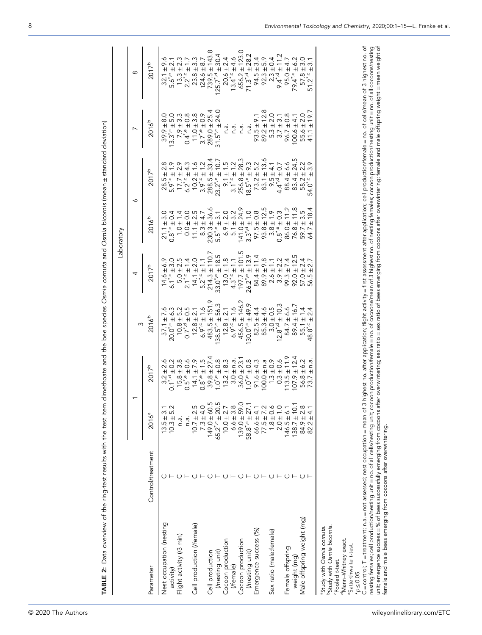|                                                                       |                   |                                                                                                                                                  |                                |                                                                                                                                                                                     |                                                                                                                                                                                                                                                                        | Laboratory        |                   |                        |            |
|-----------------------------------------------------------------------|-------------------|--------------------------------------------------------------------------------------------------------------------------------------------------|--------------------------------|-------------------------------------------------------------------------------------------------------------------------------------------------------------------------------------|------------------------------------------------------------------------------------------------------------------------------------------------------------------------------------------------------------------------------------------------------------------------|-------------------|-------------------|------------------------|------------|
|                                                                       |                   |                                                                                                                                                  |                                |                                                                                                                                                                                     | 4                                                                                                                                                                                                                                                                      |                   | ∾                 |                        | $\infty$   |
| Parameter                                                             | Control/treatment | $2016^{a}$                                                                                                                                       | 2017 <sup>b</sup>              | $3^{3}$<br>2016 <sup>b</sup>                                                                                                                                                        | 2017 <sup>b</sup>                                                                                                                                                                                                                                                      | 2016 <sup>b</sup> | 2017 <sup>b</sup> | 2016 <sup>b</sup>      | $2017^{b}$ |
| Nest occupation (nesting                                              |                   |                                                                                                                                                  |                                |                                                                                                                                                                                     |                                                                                                                                                                                                                                                                        |                   |                   |                        |            |
| activity)                                                             |                   | $13.5 \pm 3.1$<br>10.3 ± 5.2                                                                                                                     |                                |                                                                                                                                                                                     |                                                                                                                                                                                                                                                                        |                   |                   |                        |            |
| Flight activity (/3 min)                                              |                   | n.a.                                                                                                                                             |                                |                                                                                                                                                                                     |                                                                                                                                                                                                                                                                        |                   |                   |                        |            |
|                                                                       |                   | n.a.                                                                                                                                             |                                |                                                                                                                                                                                     |                                                                                                                                                                                                                                                                        |                   |                   |                        |            |
| Cell production (/female)                                             |                   | $10.7 \pm 2.5$<br>7.3 ± 4.0                                                                                                                      |                                | $137.1 + 7.6$ $20.072 - 1.6$ $10.8 + 1.57.3$ $138.52 - 1.57.3$ $139.52 - 1.57.3$ $139.52 - 1.57.3$ $130.02 - 1.57.3$ $130.02 - 1.57.3$ $130.02 - 1.57.3$ $130.02 - 1.57.3$ $130.02$ | $4.44 + 1.1107$<br>$6.74 + 1.1107$<br>$7.74 + 1.1107$<br>$8.74 + 1.1107$<br>$9.74 + 1.1107$<br>$1.74 + 1.1107$<br>$1.74 + 1.1107$<br>$1.74 + 1.1107$<br>$1.74 + 1.1107$<br>$1.74 + 1.1107$<br>$1.74 + 1.1107$<br>$1.74 + 1.1107$<br>$1.74 + 1.1107$<br>$1.74 + 1.1107$ |                   |                   |                        |            |
|                                                                       |                   |                                                                                                                                                  |                                |                                                                                                                                                                                     |                                                                                                                                                                                                                                                                        |                   |                   |                        |            |
| Cell production                                                       |                   |                                                                                                                                                  |                                |                                                                                                                                                                                     |                                                                                                                                                                                                                                                                        |                   |                   |                        |            |
| (nesting unit)                                                        |                   |                                                                                                                                                  |                                |                                                                                                                                                                                     |                                                                                                                                                                                                                                                                        |                   |                   |                        |            |
| Cocoon production                                                     |                   |                                                                                                                                                  |                                |                                                                                                                                                                                     |                                                                                                                                                                                                                                                                        |                   |                   |                        |            |
| (/female)                                                             |                   |                                                                                                                                                  |                                |                                                                                                                                                                                     |                                                                                                                                                                                                                                                                        |                   |                   |                        |            |
| Cocoon production                                                     |                   |                                                                                                                                                  |                                |                                                                                                                                                                                     |                                                                                                                                                                                                                                                                        |                   |                   |                        |            |
| (Inesting unit)                                                       |                   | $149.0 ± 60.5$ $65.21 &+ 22.5$ $65.21 &+ 22.5$ $10.0 ± 3.8$ $139.01 &+ 27.158.81 &+ 27.160.6 ± 3.858.81 &+ 27.160.071.5 ± 1.272.173.2 ± 1.274.4$ |                                |                                                                                                                                                                                     |                                                                                                                                                                                                                                                                        |                   |                   |                        |            |
| Emergence success (%)                                                 |                   |                                                                                                                                                  |                                |                                                                                                                                                                                     |                                                                                                                                                                                                                                                                        |                   |                   |                        |            |
|                                                                       |                   |                                                                                                                                                  |                                |                                                                                                                                                                                     |                                                                                                                                                                                                                                                                        |                   |                   |                        |            |
| Sex ratio (male:female)                                               |                   |                                                                                                                                                  |                                |                                                                                                                                                                                     |                                                                                                                                                                                                                                                                        |                   |                   |                        |            |
|                                                                       |                   |                                                                                                                                                  |                                |                                                                                                                                                                                     |                                                                                                                                                                                                                                                                        |                   |                   |                        |            |
| Female offspring                                                      |                   | $46.5 \pm 6.$                                                                                                                                    |                                |                                                                                                                                                                                     |                                                                                                                                                                                                                                                                        |                   |                   |                        |            |
| weight (mg)                                                           |                   |                                                                                                                                                  |                                |                                                                                                                                                                                     |                                                                                                                                                                                                                                                                        |                   |                   |                        |            |
| Male offspring weight (mg)                                            |                   | $138.7 \pm 10.1$<br>$84.9 \pm 2.8$                                                                                                               |                                |                                                                                                                                                                                     |                                                                                                                                                                                                                                                                        |                   | 24.5<br>2.2.9.    |                        |            |
|                                                                       |                   | $82.2 \pm 4.$                                                                                                                                    | n.a.<br>$\overline{+}$<br>73.7 |                                                                                                                                                                                     |                                                                                                                                                                                                                                                                        | 18.4<br>$\pm$     | $+$               | $-19.7$<br>$+$<br>41.1 |            |
| <sup>a</sup> Study with Osmia comuta.                                 |                   |                                                                                                                                                  |                                |                                                                                                                                                                                     |                                                                                                                                                                                                                                                                        |                   |                   |                        |            |
| bStudy with Osmia bicomis.                                            |                   |                                                                                                                                                  |                                |                                                                                                                                                                                     |                                                                                                                                                                                                                                                                        |                   |                   |                        |            |
| "Pooled t-test.                                                       |                   |                                                                                                                                                  |                                |                                                                                                                                                                                     |                                                                                                                                                                                                                                                                        |                   |                   |                        |            |
| <sup>d</sup> Mann-Whitney exact.<br><sup>e</sup> Satterthwaite t-test |                   |                                                                                                                                                  |                                |                                                                                                                                                                                     |                                                                                                                                                                                                                                                                        |                   |                   |                        |            |

TABLE 2: Data overview of the ring‐test results with the test item dimethoate and the bee species Osmia cornuta and Osmia bicornis (mean TABLE 2: Data overview of the ring-test results with the test item dimethoate and the bee species Osmia cornuta and Osmia bicornis (mean ± standard deviation) standard deviation)

8 Environmental Toxicology and Chemistry, 2020;00:1–15—L. Franke et al.

\*p ≤ 0.05.

female and male bees emerging from cocoons after overwintering.

C = control; T = treatment; n.a. = not assesed; nest occupation = mean of 3 highest no. after application; flight activity = first assessment after application; cell production/female = no. of cells/mean of 3 highest no. o C = control; T = treatment; n.a. = not assessed; nest occupation = mean of 3 highest no. after application; flight activity = first assessment after application; cell production/female = no. of cells/mean of 3 highest no. nesting females; cell production/nesting unit = no. of all cells/nesting unit; cocoon production/female = no. of cocoons/mean of 3 highest no. of nesting females; cocoon production/nesting unit = no. of all cocoons/nesting unit; emergence success successfully emerging from cocoons after overwintering; sex ratio = sex ratio of bees emerging from cocoons after overwintering; female and male offspring weight = mean weight of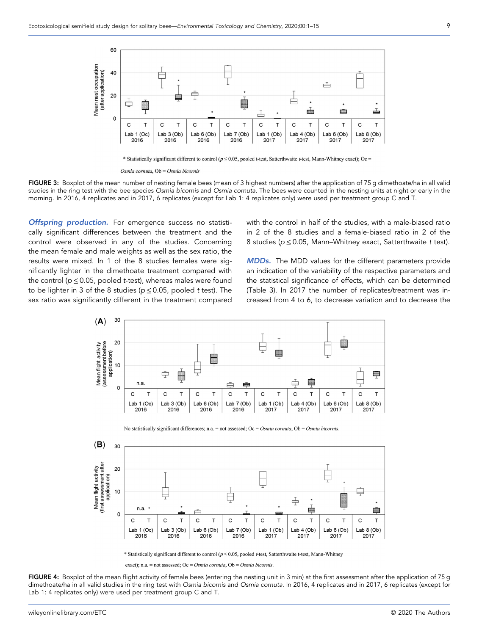

\* Statistically significant different to control ( $p \le 0.05$ , pooled t-test, Satterthwaite t-test, Mann-Whitney exact); Oc =

FIGURE 3: Boxplot of the mean number of nesting female bees (mean of 3 highest numbers) after the application of 75 g dimethoate/ha in all valid studies in the ring test with the bee species Osmia bicornis and Osmia cornuta. The bees were counted in the nesting units at night or early in the morning. In 2016, 4 replicates and in 2017, 6 replicates (except for Lab 1: 4 replicates only) were used per treatment group C and T.

**Offspring production.** For emergence success no statistically significant differences between the treatment and the control were observed in any of the studies. Concerning the mean female and male weights as well as the sex ratio, the results were mixed. In 1 of the 8 studies females were significantly lighter in the dimethoate treatment compared with the control ( $p \le 0.05$ , pooled t-test), whereas males were found to be lighter in 3 of the 8 studies ( $p \le 0.05$ , pooled t test). The sex ratio was significantly different in the treatment compared with the control in half of the studies, with a male-biased ratio in 2 of the 8 studies and a female‐biased ratio in 2 of the 8 studies ( $p \le 0.05$ , Mann–Whitney exact, Satterthwaite t test).

MDDs. The MDD values for the different parameters provide an indication of the variability of the respective parameters and the statistical significance of effects, which can be determined (Table 3). In 2017 the number of replicates/treatment was increased from 4 to 6, to decrease variation and to decrease the







\* Statistically significant different to control ( $p \le 0.05$ , pooled t-test, Satterthwaite t-test, Mann-Whitney

exact); n.a. = not assessed; Oc = Osmia cornuta, Ob = Osmia bicornis.

FIGURE 4: Boxplot of the mean flight activity of female bees (entering the nesting unit in 3 min) at the first assessment after the application of 75 g dimethoate/ha in all valid studies in the ring test with Osmia bicornis and Osmia cornuta. In 2016, 4 replicates and in 2017, 6 replicates (except for Lab 1: 4 replicates only) were used per treatment group C and T.

Osmia cornuta, Ob = Osmia bicornis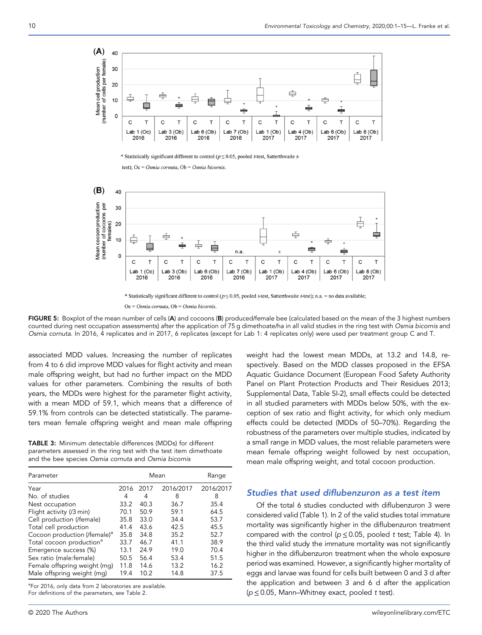

\* Statistically significant different to control ( $p \le 0.05$ , pooled t-test, Satterthwaite t-

test); Oc = Osmia cornuta, Ob = Osmia bicornis.



\* Statistically significant different to control ( $p \le 0.05$ , pooled t-test, Satterthwaite t-test); n.a. = no data available;

 $Oc = Osmia$  cornuta,  $Ob = Osmia$  bicornis.

FIGURE 5: Boxplot of the mean number of cells (A) and cocoons (B) produced/female bee (calculated based on the mean of the 3 highest numbers counted during nest occupation assessments) after the application of 75 g dimethoate/ha in all valid studies in the ring test with Osmia bicornis and Osmia cornuta. In 2016, 4 replicates and in 2017, 6 replicates (except for Lab 1: 4 replicates only) were used per treatment group C and T.

associated MDD values. Increasing the number of replicates from 4 to 6 did improve MDD values for flight activity and mean male offspring weight, but had no further impact on the MDD values for other parameters. Combining the results of both years, the MDDs were highest for the parameter flight activity, with a mean MDD of 59.1, which means that a difference of 59.1% from controls can be detected statistically. The parameters mean female offspring weight and mean male offspring

TABLE 3: Minimum detectable differences (MDDs) for different parameters assessed in the ring test with the test item dimethoate and the bee species Osmia cornuta and Osmia bicornis

| Parameter                                |      |      | Mean      | Range     |
|------------------------------------------|------|------|-----------|-----------|
| Year                                     | 2016 | 2017 | 2016/2017 | 2016/2017 |
| No. of studies                           | 4    | 4    | 8         | 8         |
| Nest occupation                          | 33.2 | 40.3 | 36.7      | 35.4      |
| Flight activity (/3 min)                 | 70.1 | 50.9 | 59.1      | 64.5      |
| Cell production (/female)                | 35.8 | 33.0 | 34.4      | 53.7      |
| Total cell production                    | 41.4 | 43.6 | 42.5      | 45.5      |
| Cocoon production (/female) <sup>a</sup> | 35.8 | 34.8 | 35.2      | 52.7      |
| Total cocoon production <sup>a</sup>     | 33.7 | 46.7 | 41.1      | 38.9      |
| Emergence success (%)                    | 13.1 | 24.9 | 19.0      | 70.4      |
| Sex ratio (male:female)                  | 50.5 | 56.4 | 53.4      | 51.5      |
| Female offspring weight (mg)             | 11.8 | 14.6 | 13.2      | 16.2      |
| Male offspring weight (mg)               | 19.4 | 10.2 | 14.8      | 37.5      |

<sup>a</sup>For 2016, only data from 2 laboratories are available. For definitions of the parameters, see Table 2.

weight had the lowest mean MDDs, at 13.2 and 14.8, respectively. Based on the MDD classes proposed in the EFSA Aquatic Guidance Document (European Food Safety Authority Panel on Plant Protection Products and Their Residues 2013; Supplemental Data, Table SI‐2), small effects could be detected in all studied parameters with MDDs below 50%, with the exception of sex ratio and flight activity, for which only medium effects could be detected (MDDs of 50–70%). Regarding the robustness of the parameters over multiple studies, indicated by a small range in MDD values, the most reliable parameters were mean female offspring weight followed by nest occupation, mean male offspring weight, and total cocoon production.

# Studies that used diflubenzuron as a test item

Of the total 6 studies conducted with diflubenzuron 3 were considered valid (Table 1). In 2 of the valid studies total immature mortality was significantly higher in the diflubenzuron treatment compared with the control ( $p \le 0.05$ , pooled t test; Table 4). In the third valid study the immature mortality was not significantly higher in the diflubenzuron treatment when the whole exposure period was examined. However, a significantly higher mortality of eggs and larvae was found for cells built between 0 and 3 d after the application and between 3 and 6 d after the application  $(p \le 0.05$ , Mann–Whitney exact, pooled t test).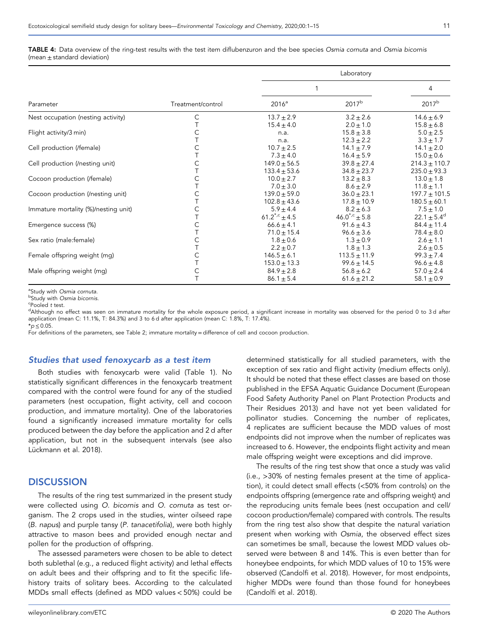#### TABLE 4: Data overview of the ring-test results with the test item diflubenzuron and the bee species Osmia cornuta and Osmia bicornis (mean  $\pm$  standard deviation)

|                                      |                   | Laboratory             |                    |                        |  |  |
|--------------------------------------|-------------------|------------------------|--------------------|------------------------|--|--|
|                                      |                   |                        | 4                  |                        |  |  |
| Parameter                            | Treatment/control | 2016 <sup>a</sup>      | 2017 <sup>b</sup>  | 2017 <sup>b</sup>      |  |  |
| Nest occupation (nesting activity)   | С                 | $13.7 \pm 2.9$         | $3.2 \pm 2.6$      | $14.6 \pm 6.9$         |  |  |
|                                      |                   | $15.4 \pm 4.0$         | $2.0 \pm 1.0$      | $15.8 \pm 6.8$         |  |  |
| Flight activity/3 min)               | C                 | n.a.                   | $15.8 \pm 3.8$     | $5.0 \pm 2.5$          |  |  |
|                                      |                   | n.a.                   | $12.3 \pm 2.2$     | $3.3 \pm 1.7$          |  |  |
| Cell production (/female)            | C                 | $10.7 + 2.5$           | $14.1 \pm 7.9$     | $14.1 \pm 2.0$         |  |  |
|                                      |                   | $7.3 \pm 4.0$          | $16.4 \pm 5.9$     | $15.0 \pm 0.6$         |  |  |
| Cell production (/nesting unit)      | C                 | $149.0 + 56.5$         | $39.8 + 27.4$      | $214.3 \pm 110.7$      |  |  |
|                                      |                   | $133.4 + 53.6$         | $34.8 \pm 23.7$    | $235.0 \pm 93.3$       |  |  |
| Cocoon production (/female)          | $\mathsf{C}$      | $10.0 + 2.7$           | $13.2 \pm 8.3$     | $13.0 + 1.8$           |  |  |
|                                      |                   | $7.0 \pm 3.0$          | $8.6 \pm 2.9$      | $11.8 \pm 1.1$         |  |  |
| Cocoon production (/nesting unit)    | C                 | $139.0 + 59.0$         | $36.0 \pm 23.1$    | $197.7 \pm 101.5$      |  |  |
|                                      |                   | $102.8 \pm 43.6$       | $17.8 \pm 10.9$    | $180.5 \pm 60.1$       |  |  |
| Immature mortality (%)/nesting unit) | C                 | $5.9 \pm 4.4$          | $8.2 \pm 6.3$      | $7.5 \pm 1.0$          |  |  |
|                                      |                   | $61.2^{\star,c}$ ± 4.5 | $46.0^{*,c}$ ± 5.8 | $22.1 \pm 5.4^{\circ}$ |  |  |
| Emergence success (%)                | $\mathsf{C}$      | $66.6 \pm 4.1$         | $91.6 \pm 4.3$     | $84.4 \pm 11.4$        |  |  |
|                                      |                   | $71.0 \pm 15.4$        | $96.6 \pm 3.6$     | $78.4 + 8.0$           |  |  |
| Sex ratio (male: female)             | $\mathsf{C}$      | $1.8 \pm 0.6$          | $1.3 \pm 0.9$      | $2.6 \pm 1.1$          |  |  |
|                                      |                   | $2.2 \pm 0.7$          | $1.8 \pm 1.3$      | $2.6 \pm 0.5$          |  |  |
| Female offspring weight (mg)         | C                 | $146.5 \pm 6.1$        | $113.5 \pm 11.9$   | $99.3 \pm 7.4$         |  |  |
|                                      |                   | $153.0 \pm 13.3$       | $99.6 \pm 14.5$    | $96.6 \pm 4.8$         |  |  |
| Male offspring weight (mg)           | C                 | $84.9 \pm 2.8$         | $56.8 \pm 6.2$     | $57.0 \pm 2.4$         |  |  |
|                                      |                   | $86.1 \pm 5.4$         | $61.6 \pm 21.2$    | $58.1 \pm 0.9$         |  |  |

<sup>a</sup>Study with Osmia cornuta.<br><sup>b</sup>Study with Osmia bicornis

<sup>b</sup>Study with Osmia bicornis.<br><sup>c</sup>Pooled *t* test.

<sup>c</sup>Pooled t test.<br><sup>d</sup>Although no effect was seen on immature mortality for the whole exposure period, a significant increase in mortality was observed for the period 0 to 3d after application (mean C: 11.1%, T: 84.3%) and 3 to 6 d after application (mean C: 1.8%, T: 17.4%).  $*_{p}$  < 0.05

For definitions of the parameters, see Table 2; immature mortality = difference of cell and cocoon production.

#### Studies that used fenoxycarb as a test item

Both studies with fenoxycarb were valid (Table 1). No statistically significant differences in the fenoxycarb treatment compared with the control were found for any of the studied parameters (nest occupation, flight activity, cell and cocoon production, and immature mortality). One of the laboratories found a significantly increased immature mortality for cells produced between the day before the application and 2 d after application, but not in the subsequent intervals (see also Lückmann et al. 2018).

# **DISCUSSION**

The results of the ring test summarized in the present study were collected using O. bicornis and O. cornuta as test organism. The 2 crops used in the studies, winter oilseed rape (B. napus) and purple tansy (P. tanacetifolia), were both highly attractive to mason bees and provided enough nectar and pollen for the production of offspring.

The assessed parameters were chosen to be able to detect both sublethal (e.g., a reduced flight activity) and lethal effects on adult bees and their offspring and to fit the specific life‐ history traits of solitary bees. According to the calculated MDDs small effects (defined as MDD values < 50%) could be

determined statistically for all studied parameters, with the exception of sex ratio and flight activity (medium effects only). It should be noted that these effect classes are based on those published in the EFSA Aquatic Guidance Document (European Food Safety Authority Panel on Plant Protection Products and Their Residues 2013) and have not yet been validated for pollinator studies. Concerning the number of replicates, 4 replicates are sufficient because the MDD values of most endpoints did not improve when the number of replicates was increased to 6. However, the endpoints flight activity and mean male offspring weight were exceptions and did improve.

The results of the ring test show that once a study was valid (i.e., >30% of nesting females present at the time of application), it could detect small effects (<50% from controls) on the endpoints offspring (emergence rate and offspring weight) and the reproducing units female bees (nest occupation and cell/ cocoon production/female) compared with controls. The results from the ring test also show that despite the natural variation present when working with Osmia, the observed effect sizes can sometimes be small, because the lowest MDD values observed were between 8 and 14%. This is even better than for honeybee endpoints, for which MDD values of 10 to 15% were observed (Candolfi et al. 2018). However, for most endpoints, higher MDDs were found than those found for honeybees (Candolfi et al. 2018).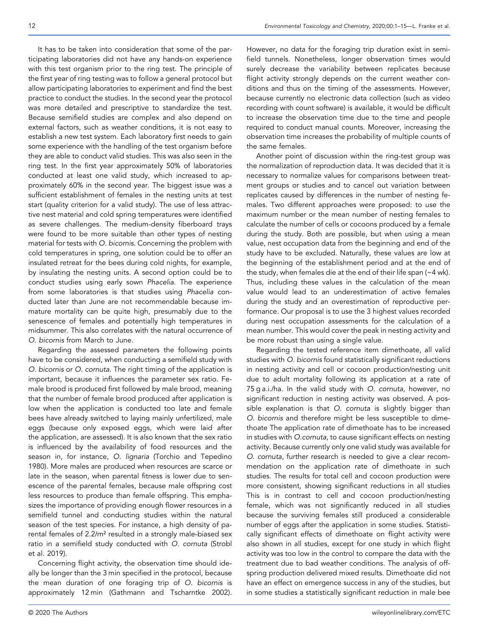It has to be taken into consideration that some of the participating laboratories did not have any hands‐on experience with this test organism prior to the ring test. The principle of the first year of ring testing was to follow a general protocol but allow participating laboratories to experiment and find the best practice to conduct the studies. In the second year the protocol was more detailed and prescriptive to standardize the test. Because semifield studies are complex and also depend on external factors, such as weather conditions, it is not easy to establish a new test system. Each laboratory first needs to gain some experience with the handling of the test organism before they are able to conduct valid studies. This was also seen in the ring test. In the first year approximately 50% of laboratories conducted at least one valid study, which increased to approximately 60% in the second year. The biggest issue was a sufficient establishment of females in the nesting units at test start (quality criterion for a valid study). The use of less attractive nest material and cold spring temperatures were identified as severe challenges. The medium‐density fiberboard trays were found to be more suitable than other types of nesting material for tests with O. bicornis. Concerning the problem with cold temperatures in spring, one solution could be to offer an insulated retreat for the bees during cold nights, for example, by insulating the nesting units. A second option could be to conduct studies using early sown Phacelia. The experience from some laboratories is that studies using Phacelia conducted later than June are not recommendable because immature mortality can be quite high, presumably due to the senescence of females and potentially high temperatures in midsummer. This also correlates with the natural occurrence of O. bicornis from March to June.

Regarding the assessed parameters the following points have to be considered, when conducting a semifield study with O. bicornis or O. cornuta. The right timing of the application is important, because it influences the parameter sex ratio. Female brood is produced first followed by male brood, meaning that the number of female brood produced after application is low when the application is conducted too late and female bees have already switched to laying mainly unfertilized, male eggs (because only exposed eggs, which were laid after the application, are assessed). It is also known that the sex ratio is influenced by the availability of food resources and the season in, for instance, O. lignaria (Torchio and Tepedino 1980). More males are produced when resources are scarce or late in the season, when parental fitness is lower due to senescence of the parental females, because male offspring cost less resources to produce than female offspring. This emphasizes the importance of providing enough flower resources in a semifield tunnel and conducting studies within the natural season of the test species. For instance, a high density of parental females of 2.2/m² resulted in a strongly male‐biased sex ratio in a semifield study conducted with O. cornuta (Strobl et al. 2019).

Concerning flight activity, the observation time should ideally be longer than the 3 min specified in the protocol, because the mean duration of one foraging trip of O. bicornis is approximately 12 min (Gathmann and Tscharntke 2002).

However, no data for the foraging trip duration exist in semifield tunnels. Nonetheless, longer observation times would surely decrease the variability between replicates because flight activity strongly depends on the current weather conditions and thus on the timing of the assessments. However, because currently no electronic data collection (such as video recording with count software) is available, it would be difficult to increase the observation time due to the time and people required to conduct manual counts. Moreover, increasing the observation time increases the probability of multiple counts of the same females.

Another point of discussion within the ring‐test group was the normalization of reproduction data. It was decided that it is necessary to normalize values for comparisons between treatment groups or studies and to cancel out variation between replicates caused by differences in the number of nesting females. Two different approaches were proposed: to use the maximum number or the mean number of nesting females to calculate the number of cells or cocoons produced by a female during the study. Both are possible, but when using a mean value, nest occupation data from the beginning and end of the study have to be excluded. Naturally, these values are low at the beginning of the establishment period and at the end of the study, when females die at the end of their life span (~4 wk). Thus, including these values in the calculation of the mean value would lead to an underestimation of active females during the study and an overestimation of reproductive performance. Our proposal is to use the 3 highest values recorded during nest occupation assessments for the calculation of a mean number. This would cover the peak in nesting activity and be more robust than using a single value.

Regarding the tested reference item dimethoate, all valid studies with O. bicornis found statistically significant reductions in nesting activity and cell or cocoon production/nesting unit due to adult mortality following its application at a rate of 75 g a.i./ha. In the valid study with O. cornuta, however, no significant reduction in nesting activity was observed. A possible explanation is that O. cornuta is slightly bigger than O. bicornis and therefore might be less susceptible to dimethoate The application rate of dimethoate has to be increased in studies with O.cornuta, to cause significant effects on nesting activity. Because currently only one valid study was available for O. cornuta, further research is needed to give a clear recommendation on the application rate of dimethoate in such studies. The results for total cell and cocoon production were more consistent, showing significant reductions in all studies This is in contrast to cell and cocoon production/nesting female, which was not significantly reduced in all studies because the surviving females still produced a considerable number of eggs after the application in some studies. Statistically significant effects of dimethoate on flight activity were also shown in all studies, except for one study in which flight activity was too low in the control to compare the data with the treatment due to bad weather conditions. The analysis of offspring production delivered mixed results. Dimethoate did not have an effect on emergence success in any of the studies, but in some studies a statistically significant reduction in male bee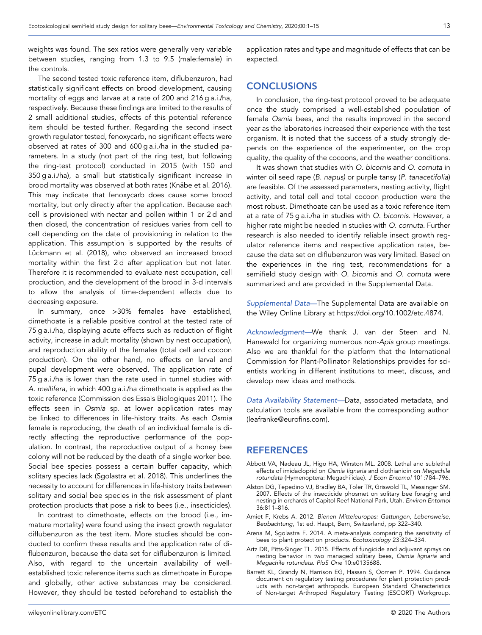weights was found. The sex ratios were generally very variable between studies, ranging from 1.3 to 9.5 (male:female) in the controls.

The second tested toxic reference item, diflubenzuron, had statistically significant effects on brood development, causing mortality of eggs and larvae at a rate of 200 and 216 g a.i./ha, respectively. Because these findings are limited to the results of 2 small additional studies, effects of this potential reference item should be tested further. Regarding the second insect growth regulator tested, fenoxycarb, no significant effects were observed at rates of 300 and 600 g a.i./ha in the studied parameters. In a study (not part of the ring test, but following the ring‐test protocol) conducted in 2015 (with 150 and 350 g a.i./ha), a small but statistically significant increase in brood mortality was observed at both rates (Knäbe et al. 2016). This may indicate that fenoxycarb does cause some brood mortality, but only directly after the application. Because each cell is provisioned with nectar and pollen within 1 or 2 d and then closed, the concentration of residues varies from cell to cell depending on the date of provisioning in relation to the application. This assumption is supported by the results of Lückmann et al. (2018), who observed an increased brood mortality within the first 2 d after application but not later. Therefore it is recommended to evaluate nest occupation, cell production, and the development of the brood in 3‐d intervals to allow the analysis of time‐dependent effects due to decreasing exposure.

In summary, once >30% females have established, dimethoate is a reliable positive control at the tested rate of 75 g a.i./ha, displaying acute effects such as reduction of flight activity, increase in adult mortality (shown by nest occupation), and reproduction ability of the females (total cell and cocoon production). On the other hand, no effects on larval and pupal development were observed. The application rate of 75 g a.i./ha is lower than the rate used in tunnel studies with A. mellifera, in which 400 g a.i./ha dimethoate is applied as the toxic reference (Commission des Essais Biologiques 2011). The effects seen in Osmia sp. at lower application rates may be linked to differences in life-history traits. As each Osmia female is reproducing, the death of an individual female is directly affecting the reproductive performance of the population. In contrast, the reproductive output of a honey bee colony will not be reduced by the death of a single worker bee. Social bee species possess a certain buffer capacity, which solitary species lack (Sgolastra et al. 2018). This underlines the necessity to account for differences in life‐history traits between solitary and social bee species in the risk assessment of plant protection products that pose a risk to bees (i.e., insecticides).

In contrast to dimethoate, effects on the brood (i.e., immature mortality) were found using the insect growth regulator diflubenzuron as the test item. More studies should be conducted to confirm these results and the application rate of diflubenzuron, because the data set for diflubenzuron is limited. Also, with regard to the uncertain availability of wellestablished toxic reference items such as dimethoate in Europe and globally, other active substances may be considered. However, they should be tested beforehand to establish the

application rates and type and magnitude of effects that can be expected.

# **CONCLUSIONS**

In conclusion, the ring‐test protocol proved to be adequate once the study comprised a well‐established population of female Osmia bees, and the results improved in the second year as the laboratories increased their experience with the test organism. It is noted that the success of a study strongly depends on the experience of the experimenter, on the crop quality, the quality of the cocoons, and the weather conditions.

It was shown that studies with O. bicornis and O. cornuta in winter oil seed rape (B. napus) or purple tansy (P. tanacetifolia) are feasible. Of the assessed parameters, nesting activity, flight activity, and total cell and total cocoon production were the most robust. Dimethoate can be used as a toxic reference item at a rate of 75 g a.i./ha in studies with O. bicornis. However, a higher rate might be needed in studies with O. cornuta. Further research is also needed to identify reliable insect growth regulator reference items and respective application rates, because the data set on diflubenzuron was very limited. Based on the experiences in the ring test, recommendations for a semifield study design with O. bicornis and O. cornuta were summarized and are provided in the Supplemental Data.

Supplemental Data-The Supplemental Data are available on the Wiley Online Library at https://doi.org/10.1002/[etc.4874](https://doi.org/10.1002/etc.4874).

Acknowledgment—We thank J. van der Steen and N. Hanewald for organizing numerous non‐Apis group meetings. Also we are thankful for the platform that the International Commission for Plant‐Pollinator Relationships provides for scientists working in different institutions to meet, discuss, and develop new ideas and methods.

Data Availability Statement—Data, associated metadata, and calculation tools are available from the corresponding author [\(leafranke@euro](mailto:leafranke@eurofins.com)fins.com).

### REFERENCES

- Abbott VA, Nadeau JL, Higo HA, Winston ML. 2008. Lethal and sublethal effects of imidacloprid on Osmia lignaria and clothianidin on Megachile rotundata (Hymenoptera: Megachilidae). J Econ Entomol 101:784–796.
- Alston DG, Tepedino VJ, Bradley BA, Toler TR, Griswold TL, Messinger SM. 2007. Effects of the insecticide phosmet on solitary bee foraging and nesting in orchards of Capitol Reef National Park, Utah. Environ Entomol 36:811–816.
- Amiet F, Krebs A. 2012. Bienen Mitteleuropas: Gattungen, Lebensweise, Beobachtung, 1st ed. Haupt, Bern, Switzerland, pp 322–340.
- Arena M, Sgolastra F. 2014. A meta‐analysis comparing the sensitivity of bees to plant protection products. Ecotoxicology 23:324–334.
- Artz DR, Pitts‐Singer TL. 2015. Effects of fungicide and adjuvant sprays on nesting behavior in two managed solitary bees, Osmia lignaria and Megachile rotundata. PloS One 10:e0135688.
- Barrett KL, Grandy N, Harrison EG, Hassan S, Oomen P. 1994. Guidance document on regulatory testing procedures for plant protection products with non-target arthropods. European Standard Characteristics of Non‐target Arthropod Regulatory Testing (ESCORT) Workgroup.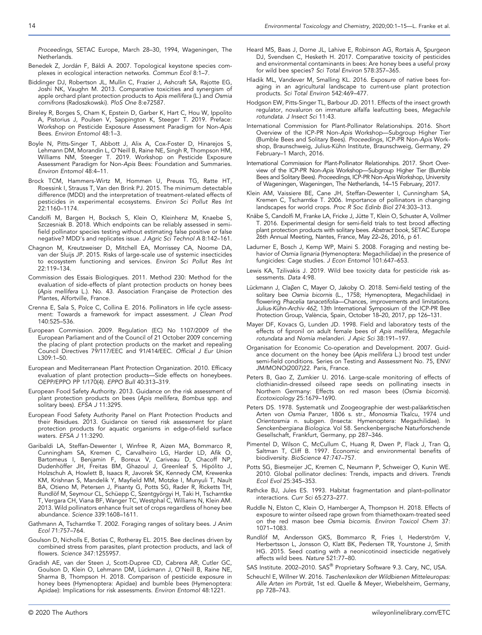Proceedings, SETAC Europe, March 28–30, 1994, Wageningen, The Netherlands.

- Benedek Z, Jordán F, Báldi A. 2007. Topological keystone species complexes in ecological interaction networks. Commun Ecol 8:1–7.
- Biddinger DJ, Robertson JL, Mullin C, Frazier J, Ashcraft SA, Rajotte EG, Joshi NK, Vaughn M. 2013. Comparative toxicities and synergism of apple orchard plant protection products to Apis mellifera (L.) and Osmia cornifrons (Radoszkowski). PloS One 8:e72587.
- Bireley R, Borges S, Cham K, Epstein D, Garber K, Hart C, Hou W, Ippolito A, Pistorius J, Poulsen V, Sappington K, Steeger T. 2019. Preface: Workshop on Pesticide Exposure Assessment Paradigm for Non‐Apis Bees. Environ Entomol 48:1–3.
- Boyle N, Pitts‐Singer T, Abbott J, Alix A, Cox‐Foster D, Hinarejos S, Lehmann DM, Morandin L, O'Neill B, Raine NE, Singh R, Thompson HM, Williams NM, Steeger T. 2019. Workshop on Pesticide Exposure Assessment Paradigm for Non‐Apis Bees: Foundation and Summaries. Environ Entomol 48:4–11.
- Brock TCM, Hammers‐Wirtz M, Hommen U, Preuss TG, Ratte HT, Roessink I, Strauss T, Van den Brink PJ. 2015. The minimum detectable difference (MDD) and the interpretation of treatment‐related effects of pesticides in experimental ecosystems. Environ Sci Pollut Res Int 22:1160–1174.
- Candolfi M, Bargen H, Bocksch S, Klein O, Kleinhenz M, Knaebe S, Szczesniak B. 2018. Which endpoints can be reliably assessed in semi‐ field pollinator species testing without estimating false positive or false negative? MDD's and replicates issue. J Agric Sci Technol A 8:142–161.
- Chagnon M, Kreutzweiser D, Mitchell EA, Morrissey CA, Noome DA, van der Sluijs JP. 2015. Risks of large-scale use of systemic insecticides to ecosystem functioning and services. Environ Sci Pollut Res Int 22:119–134.
- Commission des Essais Biologiques. 2011. Method 230: Method for the evaluation of side‐effects of plant protection products on honey bees (Apis mellifera L.). No. 43. Association Française de Protection des Plantes, Alfortville, France.
- Crenna E, Sala S, Polce C, Collina E. 2016. Pollinators in life cycle assessment: Towards a framework for impact assessment. J Clean Prod 140:525–536.
- European Commission. 2009. Regulation (EC) No 1107/2009 of the European Parliament and of the Council of 21 October 2009 concerning the placing of plant protection products on the market and repealing Council Directives 79/117/EEC and 91/414/EEC. Official J Eur Union L309:1–50.
- European and Mediterranean Plant Protection Organization. 2010. Efficacy evaluation of plant protection products—Side effects on honeybees. OEPP/EPPO PP 1/170(4). EPPO Bull 40:313–319.
- European Food Safety Authority. 2013. Guidance on the risk assessment of plant protection products on bees (Apis mellifera, Bombus spp. and solitary bees). EFSA J 11:3295.
- European Food Safety Authority Panel on Plant Protection Products and their Residues. 2013. Guidance on tiered risk assessment for plant protection products for aquatic organisms in edge‐of‐field surface waters. EFSA J 11:3290.
- Garibaldi LA, Steffan‐Dewenter I, Winfree R, Aizen MA, Bommarco R, Cunningham SA, Kremen C, Carvalheiro LG, Harder LD, Afik O, Bartomeus I, Benjamin F, Boreux V, Cariveau D, Chacoff NP, Dudenhöffer JH, Freitas BM, Ghazoul J, Greenleaf S, Hipólito J, Holzschuh A, Howlett B, Isaacs R, Javorek SK, Kennedy CM, Krewenka KM, Krishnan S, Mandelik Y, Mayfield MM, Motzke I, Munyuli T, Nault BA, Otieno M, Petersen J, Pisanty G, Potts SG, Rader R, Ricketts TH, Rundlöf M, Seymour CL, Schüepp C, Szentgyörgyi H, Taki H, Tscharntke T, Vergara CH, Viana BF, Wanger TC, Westphal C, Williams N, Klein AM. 2013. Wild pollinators enhance fruit set of crops regardless of honey bee abundance. Science 339:1608–1611.
- Gathmann A, Tscharntke T. 2002. Foraging ranges of solitary bees. J Anim Ecol 71:757–764.
- Goulson D, Nicholls E, Botías C, Rotheray EL. 2015. Bee declines driven by combined stress from parasites, plant protection products, and lack of flowers. Science 347:1255957.
- Gradish AE, van der Steen J, Scott‐Dupree CD, Cabrera AR, Cutler GC, Goulson D, Klein O, Lehmann DM, Lückmann J, O'Neill B, Raine NE, Sharma B, Thompson H. 2018. Comparison of pesticide exposure in honey bees (Hymenoptera: Apidae) and bumble bees (Hymenoptera: Apidae): Implications for risk assessments. Environ Entomol 48:1221.
- Heard MS, Baas J, Dorne JL, Lahive E, Robinson AG, Rortais A, Spurgeon DJ, Svendsen C, Hesketh H. 2017. Comparative toxicity of pesticides and environmental contaminants in bees: Are honey bees a useful proxy for wild bee species? Sci Total Environ 578:357–365.
- Hladik ML, Vandever M, Smalling KL. 2016. Exposure of native bees foraging in an agricultural landscape to current‐use plant protection products. Sci Total Environ 542:469-477.
- Hodgson EW, Pitts‐Singer TL, Barbour JD. 2011. Effects of the insect growth regulator, novaluron on immature alfalfa leafcutting bees, Megachile rotundata. J Insect Sci 11:43.
- International Commission for Plant‐Pollinator Relationships. 2016. Short Overview of the ICP‐PR Non‐Apis Workshop—Subgroup Higher Tier (Bumble Bees and Solitary Bees). Proceedings, ICP‐PR Non‐Apis Workshop, Braunschweig, Julius‐Kühn Institute, Braunschweig, Germany, 29 February–1 March, 2016.
- International Commission for Plant‐Pollinator Relationships. 2017. Short Overview of the ICP‐PR Non‐Apis Workshop—Subgroup Higher Tier (Bumble Bees and Solitary Bees). Proceedings, ICP‐PR Non‐Apis Workshop, University of Wageningen, Wageningen, The Netherlands, 14–15 February, 2017.
- Klein AM, Vaissiere BE, Cane JH, Steffan‐Dewenter I, Cunningham SA, Kremen C, Tscharntke T. 2006. Importance of pollinators in changing landscapes for world crops. Proc R Soc Edinb Biol 274:303–313.
- Knäbe S, Candolfi M, Franke LA, Fricke J, Jütte T, Klein O, Schuster A, Vollmer T. 2016. Experimental design for semi‐field trials to test brood affecting plant protection products with solitary bees. Abstract book, SETAC Europe 26th Annual Meeting, Nantes, France, May 22–26, 2016, p 61.
- Ladurner E, Bosch J, Kemp WP, Maini S. 2008. Foraging and nesting behavior of Osmia lignaria (Hymenoptera: Megachilidae) in the presence of fungicides: Cage studies. J Econ Entomol 101:647–653.
- Lewis KA, Tzilivakis J. 2019. Wild bee toxicity data for pesticide risk assessments. Data 4:98.
- Lückmann J, Claβen C, Mayer O, Jakoby O. 2018. Semi‐field testing of the solitary bee *Osmia bicornis* (L., 1758; Hymenoptera, Megachilidae) in<br>flowering *Phacelia tanacetifolia*—Chances, improvements and limitations. Julius‐Kühn‐Archiv 462, 13th International Symposium of the ICP‐PR Bee Protection Group, València, Spain, October 18–20, 2017, pp 126–131.
- Mayer DF, Kovacs G, Lunden JD. 1998. Field and laboratory tests of the effects of fipronil on adult female bees of Apis mellifera, Megachile rotundata and Nomia melanderi. J Apic Sci 38:191–197.
- Organisation for Economic Co‐operation and Development. 2007. Guidance document on the honey bee (Apis mellifera L.) brood test under semi-field conditions. Series on Testing and Asssessment No. 75, ENV/ JM/MONO(2007)22. Paris, France.
- Peters B, Gao Z, Zumkier U. 2016. Large‐scale monitoring of effects of clothianidin‐dressed oilseed rape seeds on pollinating insects in Northern Germany: Effects on red mason bees (Osmia bicornis). Ecotoxicology 25:1679–1690.
- Peters DS. 1978. Systematik und Zoogeographie der west-paläarktischen Arten von Osmia Panzer, 1806 s. str., Monosmia Tkalcu, 1974 und Orientosmia n. subgen. (Insecta: Hymenoptera: Megachilidae). In Senckenbergiana Biologica. Vol 58. Senckenbergische Naturforschende Gesellschaft, Frankfurt, Germany, pp 287–346.
- Pimentel D, Wilson C, McCullum C, Huang R, Dwen P, Flack J, Tran Q, Saltman T, Cliff B. 1997. Economic and environmental benefits of biodiversity. BioScience 47:747–757.
- Potts SG, Biesmeijer JC, Kremen C, Neumann P, Schweiger O, Kunin WE. 2010. Global pollinator declines: Trends, impacts and drivers. Trends Ecol Evol 25:345–353.
- Rathcke BJ, Jules ES. 1993. Habitat fragmentation and plant–pollinator interactions. Curr Sci 65:273–277.
- Ruddle N, Elston C, Klein O, Hamberger A, Thompson H. 2018. Effects of exposure to winter oilseed rape grown from thiamethoxam‐treated seed on the red mason bee Osmia bicornis. Environ Toxicol Chem 37: 1071–1083.
- Rundlöf M, Andersson GKS, Bommarco R, Fries I, Hederström V, Herbertsson L, Jonsson O, Klatt BK, Pedersen TR, Yourstone J, Smith HG. 2015. Seed coating with a neonicotinoid insecticide negatively affects wild bees. Nature 521:77–80.
- SAS Institute. 2002–2010. SAS® Proprietary Software 9.3. Cary, NC, USA.
- Scheuchl E, Willner W. 2016. Taschenlexikon der Wildbienen Mitteleuropas: Alle Arten im Porträt, 1st ed. Quelle & Meyer, Wiebelsheim, Germany, pp 728–743.